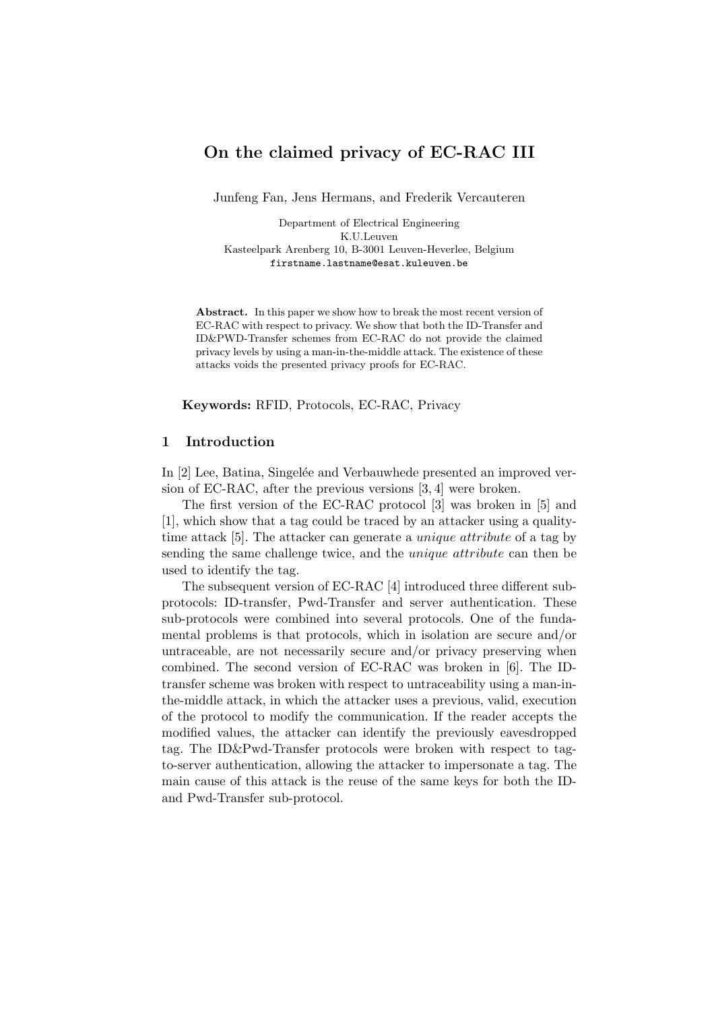# On the claimed privacy of EC-RAC III

Junfeng Fan, Jens Hermans, and Frederik Vercauteren

Department of Electrical Engineering K.U.Leuven Kasteelpark Arenberg 10, B-3001 Leuven-Heverlee, Belgium firstname.lastname@esat.kuleuven.be

Abstract. In this paper we show how to break the most recent version of EC-RAC with respect to privacy. We show that both the ID-Transfer and ID&PWD-Transfer schemes from EC-RAC do not provide the claimed privacy levels by using a man-in-the-middle attack. The existence of these attacks voids the presented privacy proofs for EC-RAC.

Keywords: RFID, Protocols, EC-RAC, Privacy

## 1 Introduction

In [2] Lee, Batina, Singelée and Verbauwhede presented an improved version of EC-RAC, after the previous versions [3, 4] were broken.

The first version of the EC-RAC protocol [3] was broken in [5] and [1], which show that a tag could be traced by an attacker using a qualitytime attack [5]. The attacker can generate a unique attribute of a tag by sending the same challenge twice, and the unique attribute can then be used to identify the tag.

The subsequent version of EC-RAC [4] introduced three different subprotocols: ID-transfer, Pwd-Transfer and server authentication. These sub-protocols were combined into several protocols. One of the fundamental problems is that protocols, which in isolation are secure and/or untraceable, are not necessarily secure and/or privacy preserving when combined. The second version of EC-RAC was broken in [6]. The IDtransfer scheme was broken with respect to untraceability using a man-inthe-middle attack, in which the attacker uses a previous, valid, execution of the protocol to modify the communication. If the reader accepts the modified values, the attacker can identify the previously eavesdropped tag. The ID&Pwd-Transfer protocols were broken with respect to tagto-server authentication, allowing the attacker to impersonate a tag. The main cause of this attack is the reuse of the same keys for both the IDand Pwd-Transfer sub-protocol.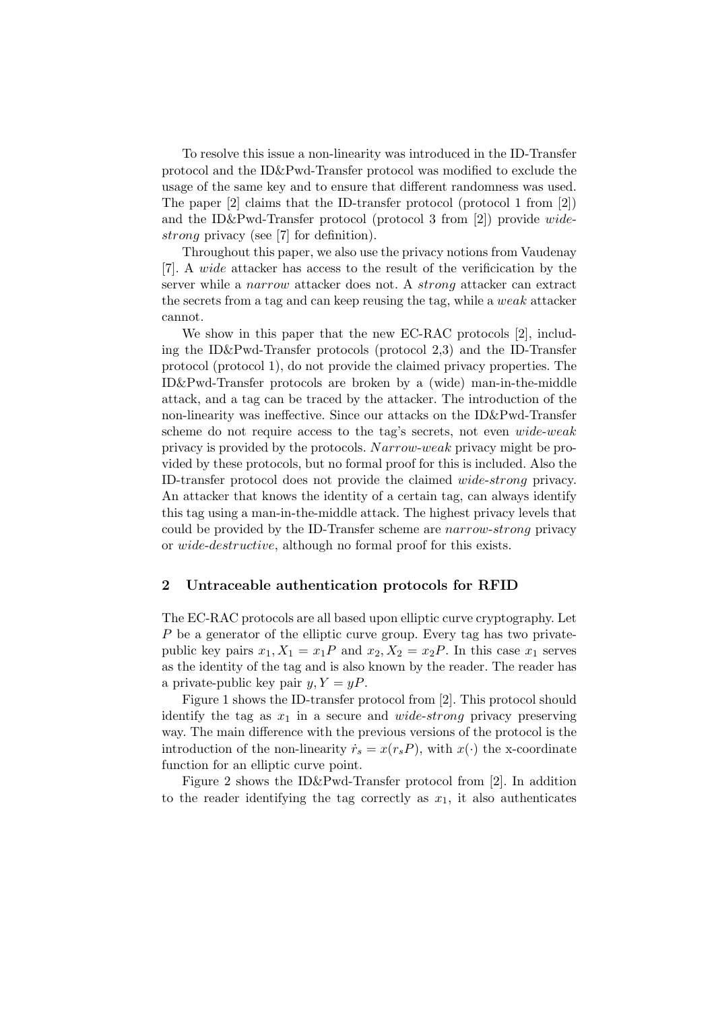To resolve this issue a non-linearity was introduced in the ID-Transfer protocol and the ID&Pwd-Transfer protocol was modified to exclude the usage of the same key and to ensure that different randomness was used. The paper [2] claims that the ID-transfer protocol (protocol 1 from [2]) and the ID&Pwd-Transfer protocol (protocol 3 from [2]) provide widestrong privacy (see [7] for definition).

Throughout this paper, we also use the privacy notions from Vaudenay [7]. A wide attacker has access to the result of the verificication by the server while a narrow attacker does not. A strong attacker can extract the secrets from a tag and can keep reusing the tag, while a weak attacker cannot.

We show in this paper that the new EC-RAC protocols [2], including the ID&Pwd-Transfer protocols (protocol 2,3) and the ID-Transfer protocol (protocol 1), do not provide the claimed privacy properties. The ID&Pwd-Transfer protocols are broken by a (wide) man-in-the-middle attack, and a tag can be traced by the attacker. The introduction of the non-linearity was ineffective. Since our attacks on the ID&Pwd-Transfer scheme do not require access to the tag's secrets, not even wide-weak privacy is provided by the protocols. Narrow-weak privacy might be provided by these protocols, but no formal proof for this is included. Also the ID-transfer protocol does not provide the claimed wide-strong privacy. An attacker that knows the identity of a certain tag, can always identify this tag using a man-in-the-middle attack. The highest privacy levels that could be provided by the ID-Transfer scheme are narrow-strong privacy or wide-destructive, although no formal proof for this exists.

### 2 Untraceable authentication protocols for RFID

The EC-RAC protocols are all based upon elliptic curve cryptography. Let P be a generator of the elliptic curve group. Every tag has two privatepublic key pairs  $x_1, X_1 = x_1P$  and  $x_2, X_2 = x_2P$ . In this case  $x_1$  serves as the identity of the tag and is also known by the reader. The reader has a private-public key pair  $y, Y = yP$ .

Figure 1 shows the ID-transfer protocol from [2]. This protocol should identify the tag as  $x_1$  in a secure and *wide-strong* privacy preserving way. The main difference with the previous versions of the protocol is the introduction of the non-linearity  $\dot{r}_s = x(r_s P)$ , with  $x(\cdot)$  the x-coordinate function for an elliptic curve point.

Figure 2 shows the ID&Pwd-Transfer protocol from [2]. In addition to the reader identifying the tag correctly as  $x_1$ , it also authenticates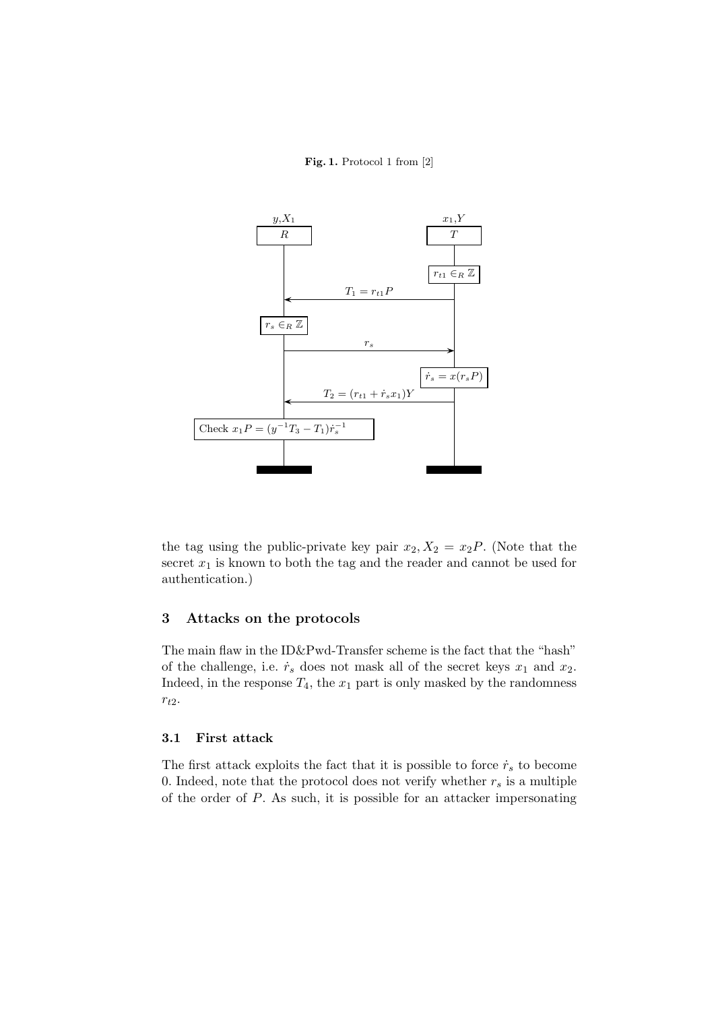### Fig. 1. Protocol 1 from [2]



the tag using the public-private key pair  $x_2, X_2 = x_2P$ . (Note that the secret  $x_1$  is known to both the tag and the reader and cannot be used for authentication.)

## 3 Attacks on the protocols

The main flaw in the ID&Pwd-Transfer scheme is the fact that the "hash" of the challenge, i.e.  $\dot{r}_s$  does not mask all of the secret keys  $x_1$  and  $x_2$ . Indeed, in the response  $T_4$ , the  $x_1$  part is only masked by the randomness  $r_{t2}$ .

## 3.1 First attack

The first attack exploits the fact that it is possible to force  $\dot{r}_s$  to become 0. Indeed, note that the protocol does not verify whether  $r_s$  is a multiple of the order of P. As such, it is possible for an attacker impersonating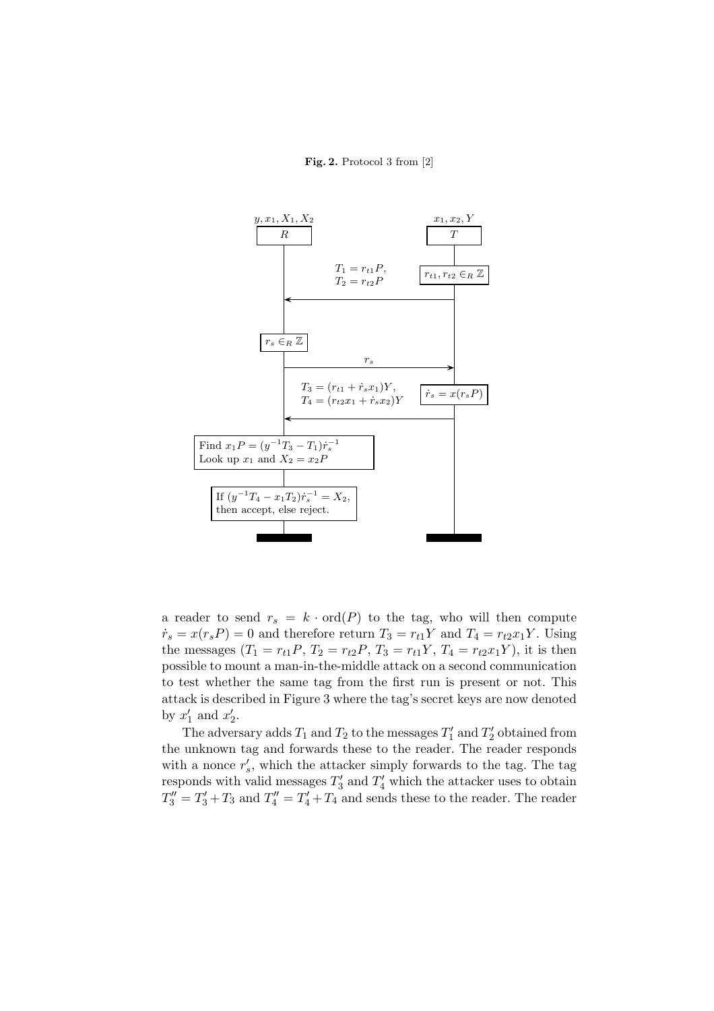#### Fig. 2. Protocol 3 from [2]



a reader to send  $r_s = k \cdot \text{ord}(P)$  to the tag, who will then compute  $\dot{r}_s = x(r_s P) = 0$  and therefore return  $T_3 = r_{t1}Y$  and  $T_4 = r_{t2}x_1Y$ . Using the messages  $(T_1 = r_{t1}P, T_2 = r_{t2}P, T_3 = r_{t1}Y, T_4 = r_{t2}x_1Y),$  it is then possible to mount a man-in-the-middle attack on a second communication to test whether the same tag from the first run is present or not. This attack is described in Figure 3 where the tag's secret keys are now denoted by  $x'_1$  and  $x'_2$ .

The adversary adds  $T_1$  and  $T_2$  to the messages  $T'_1$  and  $T'_2$  obtained from the unknown tag and forwards these to the reader. The reader responds with a nonce  $r'_s$ , which the attacker simply forwards to the tag. The tag responds with valid messages  $T_3'$  and  $T_4'$  which the attacker uses to obtain  $T''_3 = T'_3 + T_3$  and  $T''_4 = T'_4 + T_4$  and sends these to the reader. The reader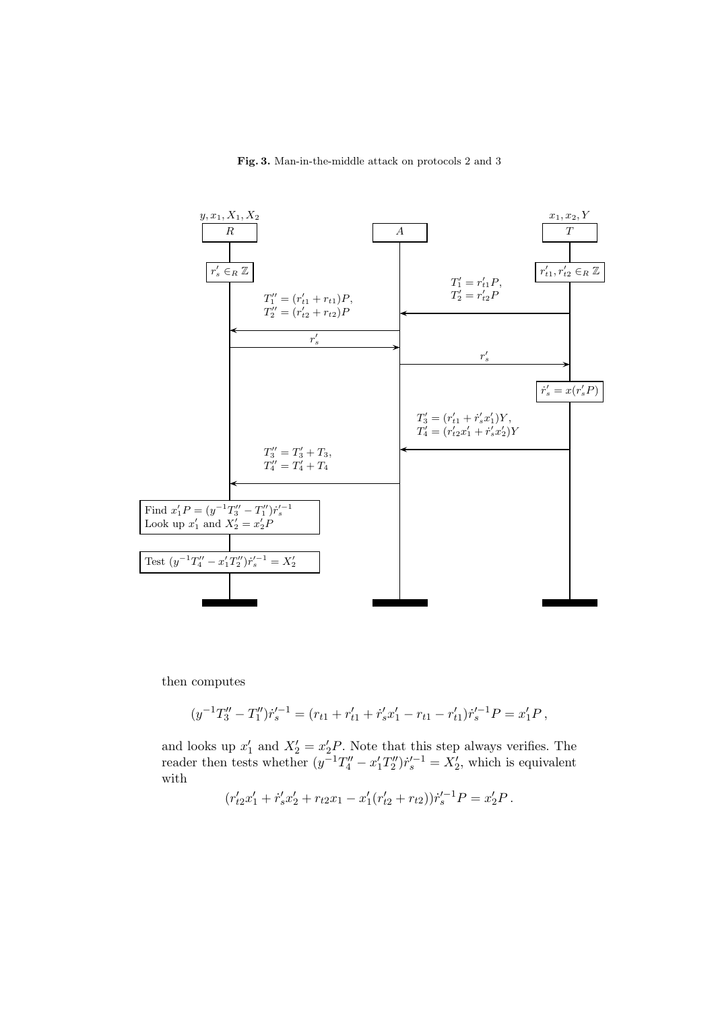#### Fig. 3. Man-in-the-middle attack on protocols 2 and 3



then computes

$$
(y^{-1}T_3'' - T_1'')\dot{r}_s'^{-1} = (r_{t1} + r_{t1}' + \dot{r}_s'x_1' - r_{t1} - r_{t1}')\dot{r}_s'^{-1}P = x_1'P,
$$

and looks up  $x'_1$  and  $X'_2 = x'_2P$ . Note that this step always verifies. The reader then tests whether  $(y^{-1}T''_4 - x'_1T''_2)r'^{-1}_s = X'_2$ , which is equivalent with

$$
(r'_{t2}x'_1 + \dot{r}'_s x'_2 + r_{t2}x_1 - x'_1(r'_{t2} + r_{t2}))\dot{r}'_s^{-1}P = x'_2P.
$$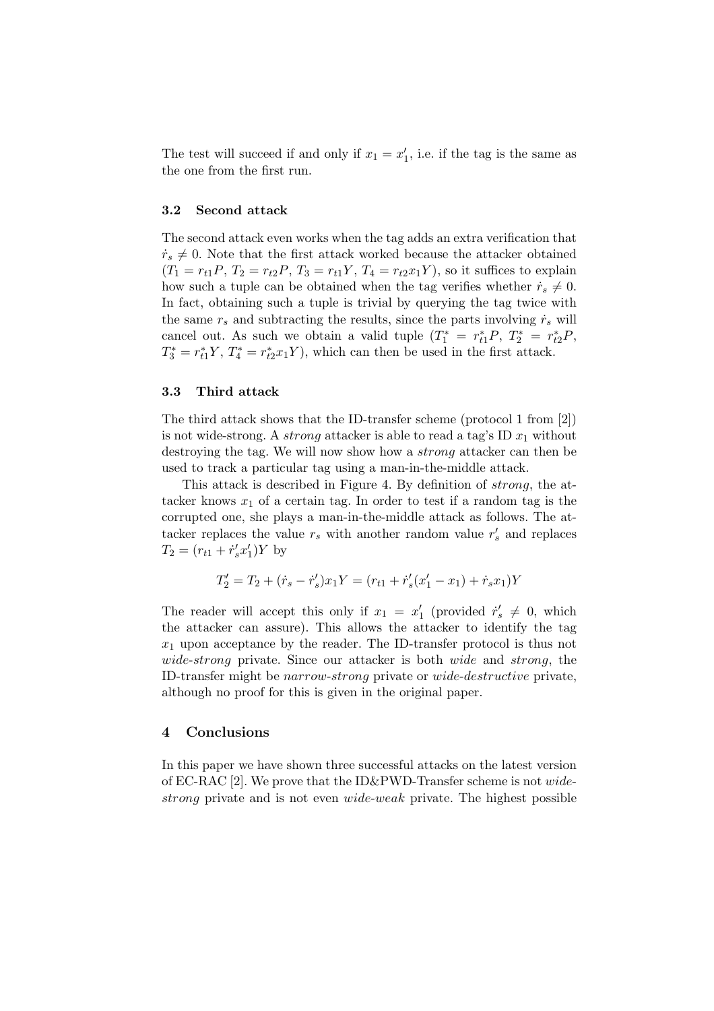The test will succeed if and only if  $x_1 = x'_1$ , i.e. if the tag is the same as the one from the first run.

## 3.2 Second attack

The second attack even works when the tag adds an extra verification that  $\dot{r}_s \neq 0$ . Note that the first attack worked because the attacker obtained  $(T_1 = r_{t1}P, T_2 = r_{t2}P, T_3 = r_{t1}Y, T_4 = r_{t2}x_1Y$ , so it suffices to explain how such a tuple can be obtained when the tag verifies whether  $\dot{r}_s \neq 0$ . In fact, obtaining such a tuple is trivial by querying the tag twice with the same  $r_s$  and subtracting the results, since the parts involving  $\dot{r}_s$  will cancel out. As such we obtain a valid tuple  $(T_1^* = r_{t1}^* P, T_2^* = r_{t2}^* P,$  $T_3^* = r_{t1}^* Y$ ,  $T_4^* = r_{t2}^* x_1 Y$ , which can then be used in the first attack.

## 3.3 Third attack

The third attack shows that the ID-transfer scheme (protocol 1 from [2]) is not wide-strong. A *strong* attacker is able to read a tag's ID  $x_1$  without destroying the tag. We will now show how a strong attacker can then be used to track a particular tag using a man-in-the-middle attack.

This attack is described in Figure 4. By definition of strong, the attacker knows  $x_1$  of a certain tag. In order to test if a random tag is the corrupted one, she plays a man-in-the-middle attack as follows. The attacker replaces the value  $r_s$  with another random value  $r'_s$  and replaces  $T_2 = (r_{t1} + \dot{r}_s' x_1') Y$  by

$$
T_2' = T_2 + (\dot{r}_s - \dot{r}_s')x_1Y = (r_{t1} + \dot{r}_s'(x_1' - x_1) + \dot{r}_s x_1)Y
$$

The reader will accept this only if  $x_1 = x'_1$  (provided  $\dot{r}'_s \neq 0$ , which the attacker can assure). This allows the attacker to identify the tag  $x_1$  upon acceptance by the reader. The ID-transfer protocol is thus not wide-strong private. Since our attacker is both wide and strong, the ID-transfer might be narrow-strong private or wide-destructive private, although no proof for this is given in the original paper.

## 4 Conclusions

In this paper we have shown three successful attacks on the latest version of EC-RAC [2]. We prove that the ID&PWD-Transfer scheme is not widestrong private and is not even wide-weak private. The highest possible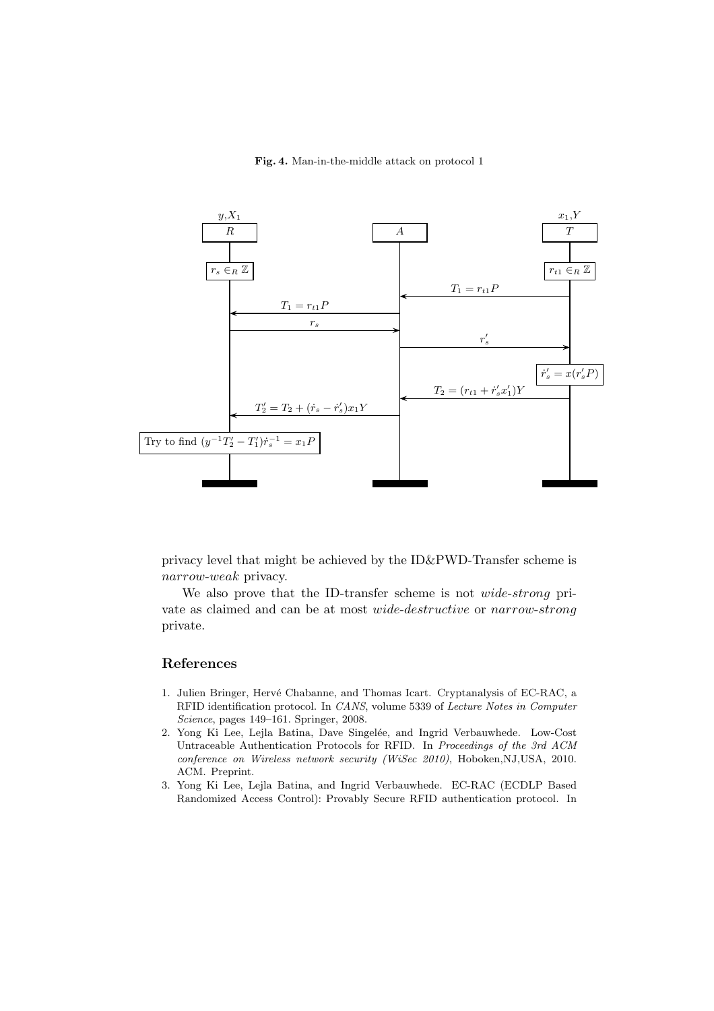#### Fig. 4. Man-in-the-middle attack on protocol 1



privacy level that might be achieved by the ID&PWD-Transfer scheme is narrow-weak privacy.

We also prove that the ID-transfer scheme is not *wide-strong* private as claimed and can be at most wide-destructive or narrow-strong private.

## References

- 1. Julien Bringer, Hervé Chabanne, and Thomas Icart. Cryptanalysis of EC-RAC, a RFID identification protocol. In CANS, volume 5339 of Lecture Notes in Computer Science, pages 149–161. Springer, 2008.
- 2. Yong Ki Lee, Lejla Batina, Dave Singelée, and Ingrid Verbauwhede. Low-Cost Untraceable Authentication Protocols for RFID. In Proceedings of the 3rd ACM conference on Wireless network security (WiSec 2010), Hoboken,NJ,USA, 2010. ACM. Preprint.
- 3. Yong Ki Lee, Lejla Batina, and Ingrid Verbauwhede. EC-RAC (ECDLP Based Randomized Access Control): Provably Secure RFID authentication protocol. In